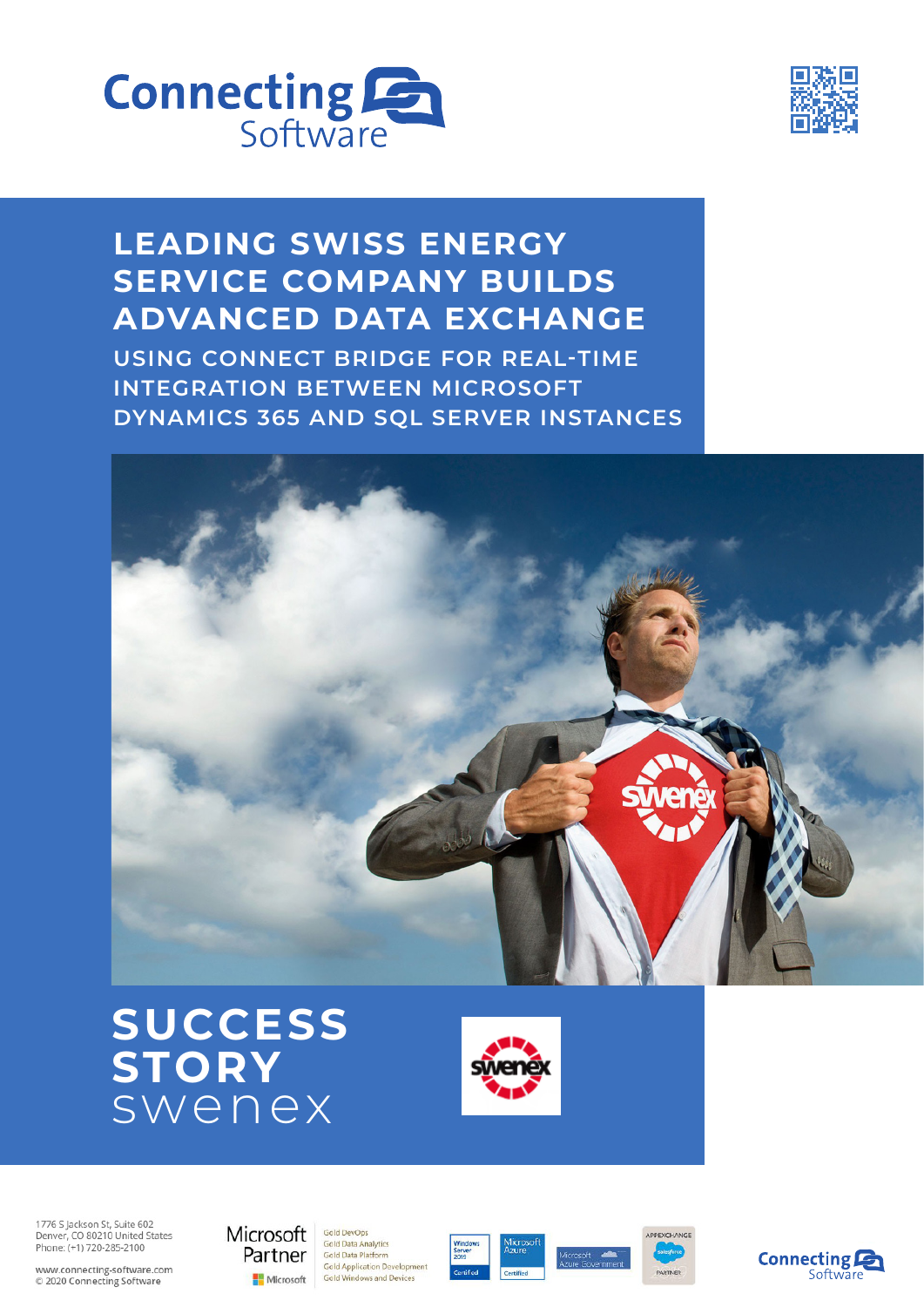



# **LEADING SWISS ENERGY SERVICE COMPANY BUILDS ADVANCED DATA EXCHANGE**

**USING CONNECT BRIDGE FOR REAL-TIME INTEGRATION BETWEEN MICROSOFT DYNAMICS 365 AND SQL SERVER INSTANCES**







1776 S Jackson St, Suite 602<br>Denver, CO 80210 United States Phone: (+1) 720-285-2100

www.connecting-software.com<br>© 2020 Connecting Software



**Gold Data Analytics** Gold Data Platform Gold Application Development Gold Windows and Devices

Gold DevOps







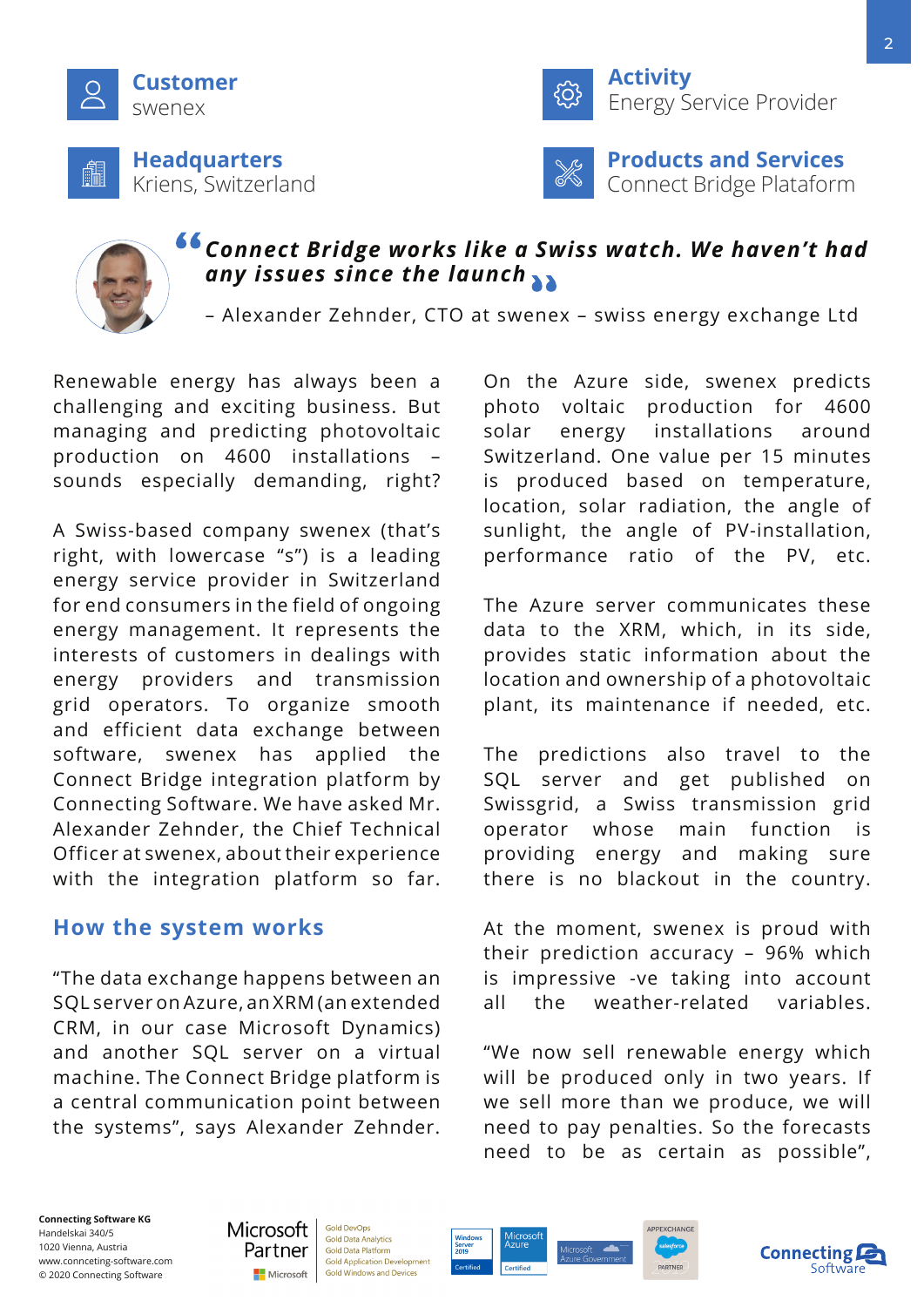

Kriens, Switzerland



**Activity** Energy Service Provider



**Products and Services** Connect Bridge Plataform



## *Connect Bridge works like a Swiss watch. We haven't had any issues since the launch*

– Alexander Zehnder, CTO at swenex – swiss energy exchange Ltd

Renewable energy has always been a challenging and exciting business. But managing and predicting photovoltaic production on 4600 installations – sounds especially demanding, right?

A Swiss-based company swenex (that's right, with lowercase "s") is a leading energy service provider in Switzerland for end consumers in the field of ongoing energy management. It represents the interests of customers in dealings with energy providers and transmission grid operators. To organize smooth and efficient data exchange between software, swenex has applied the Connect Bridge integration platform by Connecting Software. We have asked Mr. Alexander Zehnder, the Chief Technical Officer at swenex, about their experience with the integration platform so far.

## **How the system works**

"The data exchange happens between an SQL server on Azure, an XRM (an extended CRM, in our case Microsoft Dynamics) and another SQL server on a virtual machine. The Connect Bridge platform is a central communication point between the systems", says Alexander Zehnder. On the Azure side, swenex predicts photo voltaic production for 4600 solar energy installations around Switzerland. One value per 15 minutes is produced based on temperature, location, solar radiation, the angle of sunlight, the angle of PV-installation, performance ratio of the PV, etc.

The Azure server communicates these data to the XRM, which, in its side, provides static information about the location and ownership of a photovoltaic plant, its maintenance if needed, etc.

The predictions also travel to the SQL server and get published on Swissgrid, a Swiss transmission grid operator whose main function is providing energy and making sure there is no blackout in the country.

At the moment, swenex is proud with their prediction accuracy – 96% which is impressive -ve taking into account all the weather-related variables.

"We now sell renewable energy which will be produced only in two years. If we sell more than we produce, we will need to pay penalties. So the forecasts need to be as certain as possible",

**Connecting Software KG** Handelskai 340/5 1020 Vienna, Austria www.connceting-software.com © 2020 Connecting Software



**Gold DevOps Gold Data Analytics** Gold Data Platform **Gold Application Developmen** Gold Windows and Devices





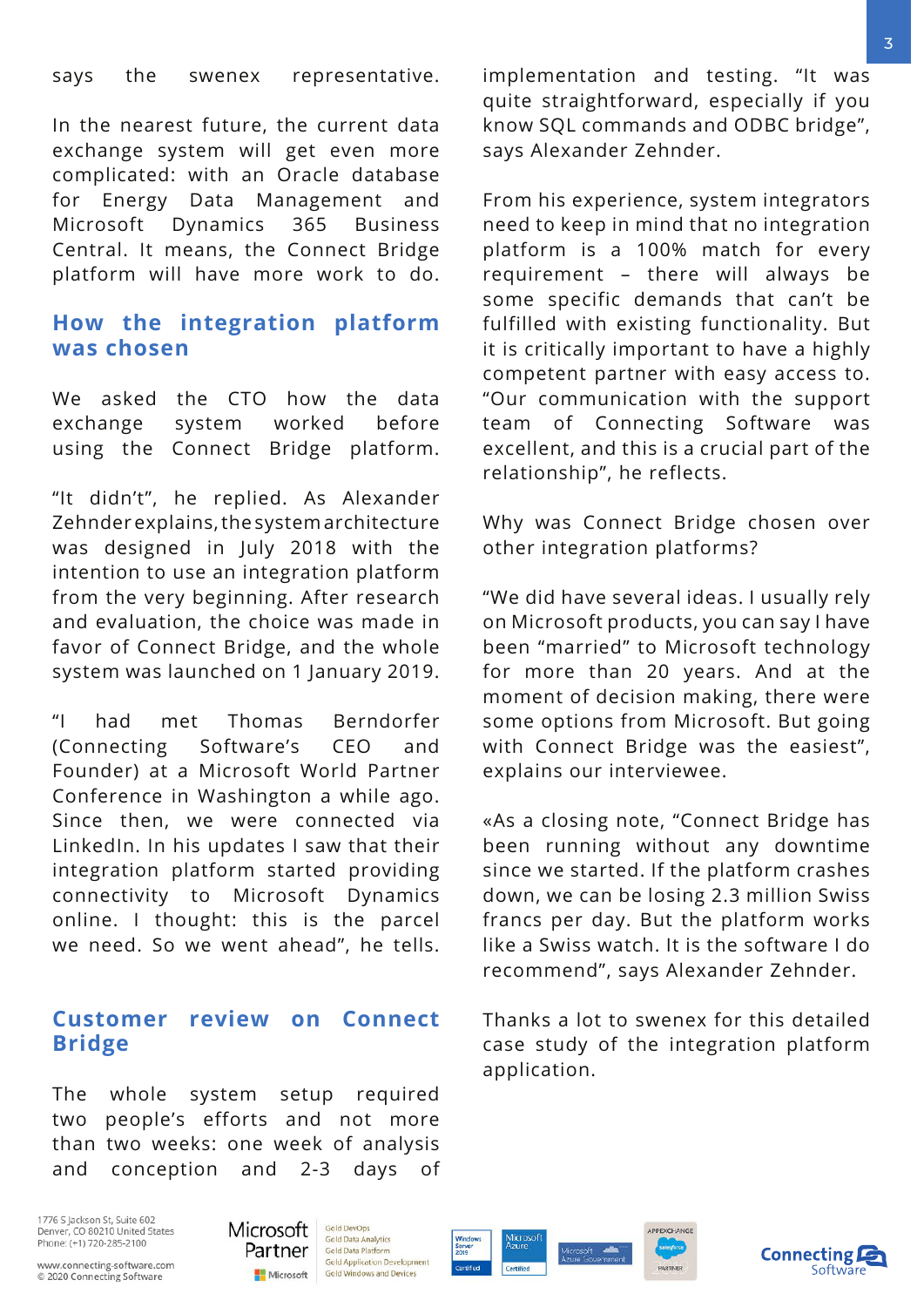says the swenex representative.

In the nearest future, the current data exchange system will get even more complicated: with an Oracle database for Energy Data Management and Microsoft Dynamics 365 Business Central. It means, the Connect Bridge platform will have more work to do.

### **How the integration platform was chosen**

We asked the CTO how the data exchange system worked before using the Connect Bridge platform.

"It didn't", he replied. As Alexander Zehnder explains, the system architecture was designed in July 2018 with the intention to use an integration platform from the very beginning. After research and evaluation, the choice was made in favor of Connect Bridge, and the whole system was launched on 1 January 2019.

"I had met Thomas Berndorfer (Connecting Software's CEO and Founder) at a Microsoft World Partner Conference in Washington a while ago. Since then, we were connected via LinkedIn. In his updates I saw that their integration platform started providing connectivity to Microsoft Dynamics online. I thought: this is the parcel we need. So we went ahead", he tells.

### **Customer review on Connect Bridge**

The whole system setup required two people's efforts and not more than two weeks: one week of analysis and conception and 2-3 days of implementation and testing. "It was quite straightforward, especially if you know SQL commands and ODBC bridge", says Alexander Zehnder.

From his experience, system integrators need to keep in mind that no integration platform is a 100% match for every requirement – there will always be some specific demands that can't be fulfilled with existing functionality. But it is critically important to have a highly competent partner with easy access to. "Our communication with the support team of Connecting Software was excellent, and this is a crucial part of the relationship", he reflects.

Why was Connect Bridge chosen over other integration platforms?

"We did have several ideas. I usually rely on Microsoft products, you can say I have been "married" to Microsoft technology for more than 20 years. And at the moment of decision making, there were some options from Microsoft. But going with Connect Bridge was the easiest", explains our interviewee.

«As a closing note, "Connect Bridge has been running without any downtime since we started. If the platform crashes down, we can be losing 2.3 million Swiss francs per day. But the platform works like a Swiss watch. It is the software I do recommend", says Alexander Zehnder.

Thanks a lot to swenex for this detailed case study of the integration platform application.

1776 S Jackson St, Suite 602 Denver, CO 80210 United States Phone: (+1) 720-285-2100



Gold DevOps **Gold Data Analytics** Gold Data Platform **Gold Application Development** Gold Windows and Devices